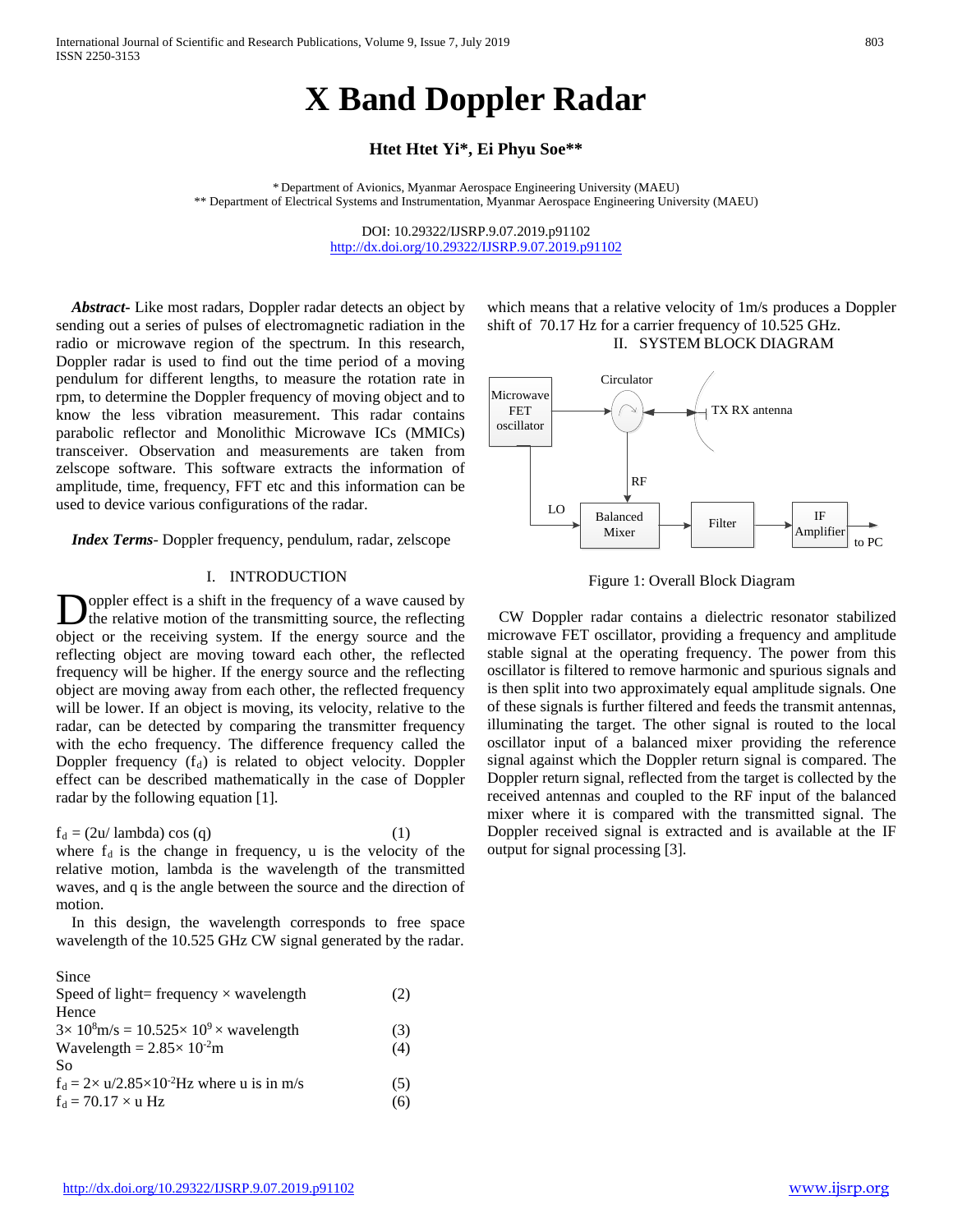# **X Band Doppler Radar**

# **Htet Htet Yi\*, Ei Phyu Soe\*\***

\* Department of Avionics, Myanmar Aerospace Engineering University (MAEU) \*\* Department of Electrical Systems and Instrumentation, Myanmar Aerospace Engineering University (MAEU)

> DOI: 10.29322/IJSRP.9.07.2019.p91102 <http://dx.doi.org/10.29322/IJSRP.9.07.2019.p91102>

 *Abstract***-** Like most radars, Doppler radar detects an object by sending out a series of pulses of electromagnetic radiation in the radio or microwave region of the spectrum. In this research, Doppler radar is used to find out the time period of a moving pendulum for different lengths, to measure the rotation rate in rpm, to determine the Doppler frequency of moving object and to know the less vibration measurement. This radar contains parabolic reflector and Monolithic Microwave ICs (MMICs) transceiver. Observation and measurements are taken from zelscope software. This software extracts the information of amplitude, time, frequency, FFT etc and this information can be used to device various configurations of the radar.

 *Index Terms*- Doppler frequency, pendulum, radar, zelscope

# I. INTRODUCTION

oppler effect is a shift in the frequency of a wave caused by the relative motion of the transmitting source, the reflecting **D**oppler effect is a shift in the frequency of a wave caused by the relative motion of the transmitting source, the reflecting object or the receiving system. If the energy source and the reflecting object are moving toward each other, the reflected frequency will be higher. If the energy source and the reflecting object are moving away from each other, the reflected frequency will be lower. If an object is moving, its velocity, relative to the radar, can be detected by comparing the transmitter frequency with the echo frequency. The difference frequency called the Doppler frequency  $(f_d)$  is related to object velocity. Doppler effect can be described mathematically in the case of Doppler radar by the following equation [1].

 $f_d = (2u / \text{lambda}) \cos(q)$  (1) where  $f_d$  is the change in frequency, u is the velocity of the relative motion, lambda is the wavelength of the transmitted waves, and q is the angle between the source and the direction of motion.

 In this design, the wavelength corresponds to free space wavelength of the 10.525 GHz CW signal generated by the radar.

| Since                                                                     |     |
|---------------------------------------------------------------------------|-----|
| Speed of light= frequency $\times$ wavelength                             | (2) |
| Hence                                                                     |     |
| $3 \times 10^8$ m/s = 10.525 $\times$ 10 <sup>9</sup> $\times$ wavelength | (3) |
| Wavelength = $2.85 \times 10^{-2}$ m                                      | (4) |
| So.                                                                       |     |
| $f_d = 2 \times u/2.85 \times 10^{-2}$ Hz where u is in m/s               | (5) |
| $f_d = 70.17 \times u$ Hz                                                 | (6) |
|                                                                           |     |

which means that a relative velocity of 1m/s produces a Doppler shift of 70.17 Hz for a carrier frequency of 10.525 GHz. II. SYSTEM BLOCK DIAGRAM

Circulator



Figure 1: Overall Block Diagram

 CW Doppler radar contains a dielectric resonator stabilized microwave FET oscillator, providing a frequency and amplitude stable signal at the operating frequency. The power from this oscillator is filtered to remove harmonic and spurious signals and is then split into two approximately equal amplitude signals. One of these signals is further filtered and feeds the transmit antennas, illuminating the target. The other signal is routed to the local oscillator input of a balanced mixer providing the reference signal against which the Doppler return signal is compared. The Doppler return signal, reflected from the target is collected by the received antennas and coupled to the RF input of the balanced mixer where it is compared with the transmitted signal. The Doppler received signal is extracted and is available at the IF output for signal processing [3].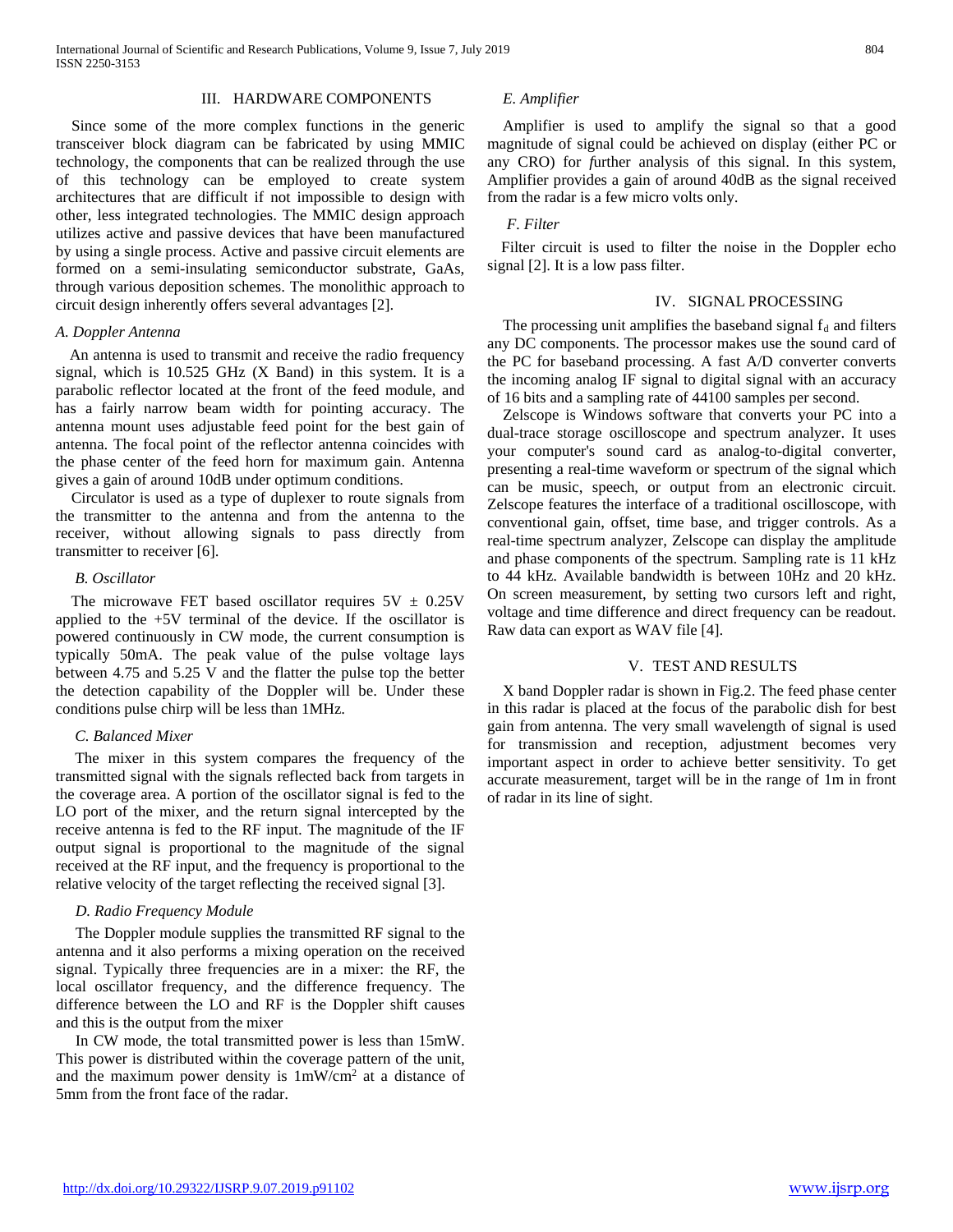## III. HARDWARE COMPONENTS

Since some of the more complex functions in the generic transceiver block diagram can be fabricated by using MMIC technology, the components that can be realized through the use of this technology can be employed to create system architectures that are difficult if not impossible to design with other, less integrated technologies. The MMIC design approach utilizes active and passive devices that have been manufactured by using a single process. Active and passive circuit elements are formed on a semi-insulating semiconductor substrate, GaAs, through various deposition schemes. The monolithic approach to circuit design inherently offers several advantages [2].

## *A. Doppler Antenna*

 An antenna is used to transmit and receive the radio frequency signal, which is 10.525 GHz (X Band) in this system. It is a parabolic reflector located at the front of the feed module, and has a fairly narrow beam width for pointing accuracy. The antenna mount uses adjustable feed point for the best gain of antenna. The focal point of the reflector antenna coincides with the phase center of the feed horn for maximum gain. Antenna gives a gain of around 10dB under optimum conditions.

 Circulator is used as a type of duplexer to route signals from the transmitter to the antenna and from the antenna to the receiver, without allowing signals to pass directly from transmitter to receiver [6].

#### *B. Oscillator*

The microwave FET based oscillator requires  $5V \pm 0.25V$ applied to the +5V terminal of the device. If the oscillator is powered continuously in CW mode, the current consumption is typically 50mA. The peak value of the pulse voltage lays between 4.75 and 5.25 V and the flatter the pulse top the better the detection capability of the Doppler will be. Under these conditions pulse chirp will be less than 1MHz.

## *C. Balanced Mixer*

 The mixer in this system compares the frequency of the transmitted signal with the signals reflected back from targets in the coverage area. A portion of the oscillator signal is fed to the LO port of the mixer, and the return signal intercepted by the receive antenna is fed to the RF input. The magnitude of the IF output signal is proportional to the magnitude of the signal received at the RF input, and the frequency is proportional to the relative velocity of the target reflecting the received signal [3].

#### *D. Radio Frequency Module*

 The Doppler module supplies the transmitted RF signal to the antenna and it also performs a mixing operation on the received signal. Typically three frequencies are in a mixer: the RF, the local oscillator frequency, and the difference frequency. The difference between the LO and RF is the Doppler shift causes and this is the output from the mixer

 In CW mode, the total transmitted power is less than 15mW. This power is distributed within the coverage pattern of the unit, and the maximum power density is 1mW/cm2 at a distance of 5mm from the front face of the radar.

## *E. Amplifier*

 Amplifier is used to amplify the signal so that a good magnitude of signal could be achieved on display (either PC or any CRO) for *f*urther analysis of this signal. In this system, Amplifier provides a gain of around 40dB as the signal received from the radar is a few micro volts only.

#### *F. Filter*

 Filter circuit is used to filter the noise in the Doppler echo signal [2]. It is a low pass filter.

# IV. SIGNAL PROCESSING

The processing unit amplifies the baseband signal  $f_d$  and filters any DC components. The processor makes use the sound card of the PC for baseband processing. A fast A/D converter converts the incoming analog IF signal to digital signal with an accuracy of 16 bits and a sampling rate of 44100 samples per second.

 Zelscope is Windows software that converts your PC into a dual-trace storage oscilloscope and spectrum analyzer. It uses your computer's sound card as analog-to-digital converter, presenting a real-time waveform or spectrum of the signal which can be music, speech, or output from an electronic circuit. Zelscope features the interface of a traditional oscilloscope, with conventional gain, offset, time base, and trigger controls. As a real-time spectrum analyzer, Zelscope can display the amplitude and phase components of the spectrum. Sampling rate is 11 kHz to 44 kHz. Available bandwidth is between 10Hz and 20 kHz. On screen measurement, by setting two cursors left and right, voltage and time difference and direct frequency can be readout. Raw data can export as WAV file [4].

#### V. TEST AND RESULTS

 X band Doppler radar is shown in Fig.2. The feed phase center in this radar is placed at the focus of the parabolic dish for best gain from antenna. The very small wavelength of signal is used for transmission and reception, adjustment becomes very important aspect in order to achieve better sensitivity. To get accurate measurement, target will be in the range of 1m in front of radar in its line of sight.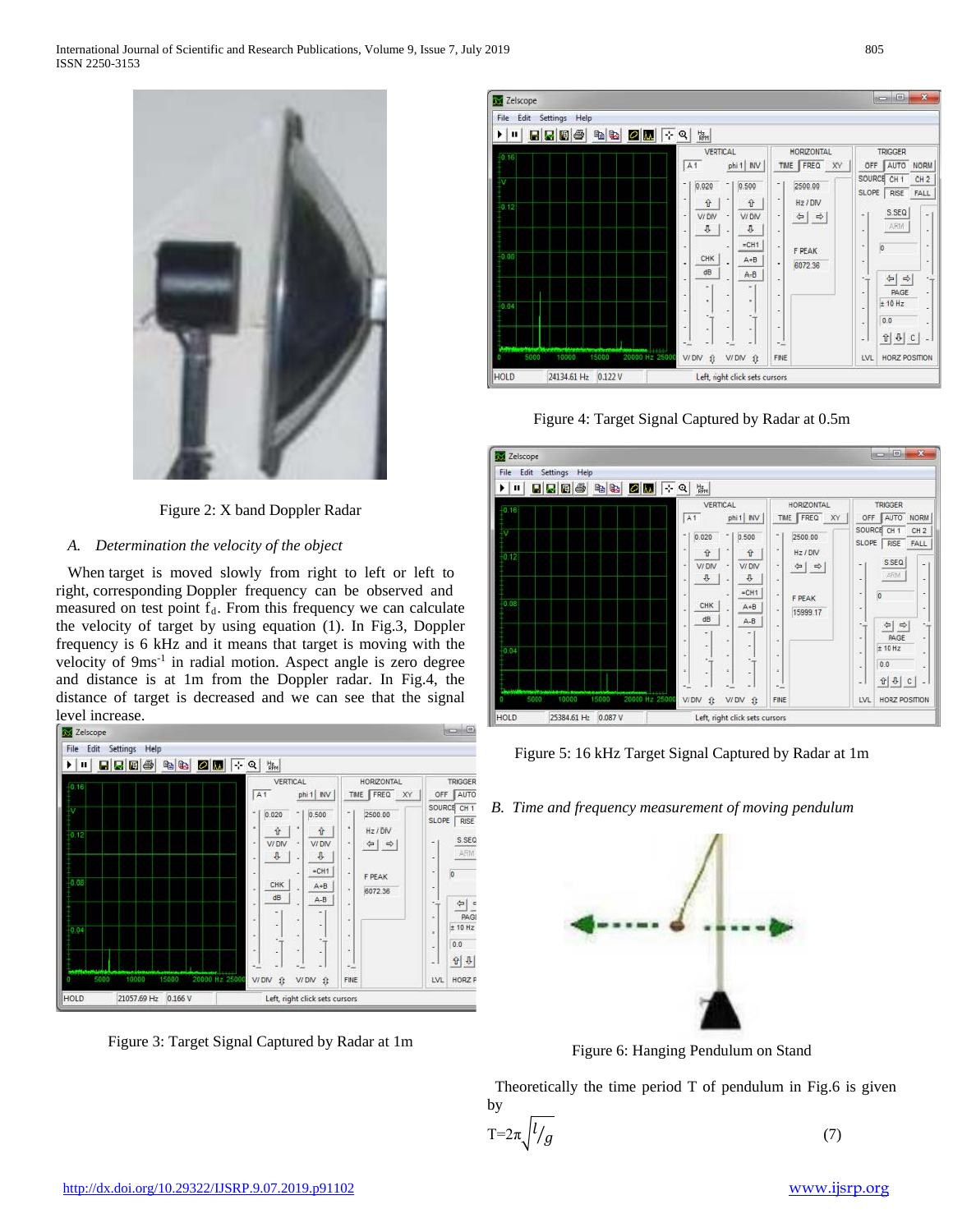

Figure 2: X band Doppler Radar

# *A. Determination the velocity of the object*

 When target is moved slowly from right to left or left to right, corresponding Doppler frequency can be observed and measured on test point  $f_d$ . From this frequency we can calculate the velocity of target by using equation (1). In Fig.3, Doppler frequency is 6 kHz and it means that target is moving with the velocity of 9ms<sup>-1</sup> in radial motion. Aspect angle is zero degree and distance is at 1m from the Doppler radar. In Fig.4, the distance of target is decreased and we can see that the signal



Figure 3: Target Signal Captured by Radar at 1m







Figure 5: 16 kHz Target Signal Captured by Radar at 1m

*B. Time and frequency measurement of moving pendulum*



Figure 6: Hanging Pendulum on Stand

Theoretically the time period  $T$  of pendulum in Fig.6 is given by

$$
T = 2\pi \sqrt{l/g} \tag{7}
$$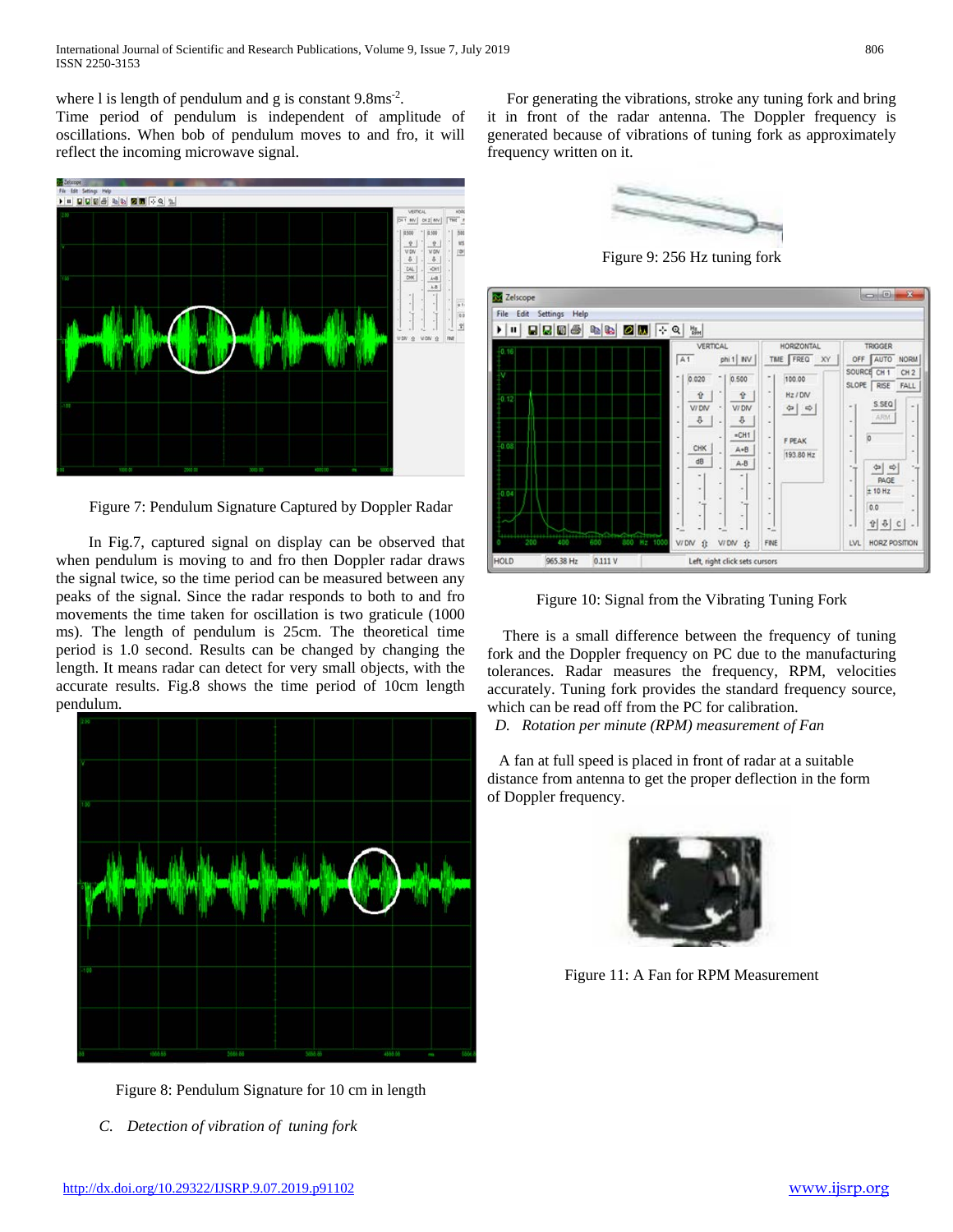where 1 is length of pendulum and g is constant 9.8ms<sup>-2</sup>.

Time period of pendulum is independent of amplitude of oscillations. When bob of pendulum moves to and fro, it will reflect the incoming microwave signal.



Figure 7: Pendulum Signature Captured by Doppler Radar

 In Fig.7, captured signal on display can be observed that when pendulum is moving to and fro then Doppler radar draws the signal twice, so the time period can be measured between any peaks of the signal. Since the radar responds to both to and fro movements the time taken for oscillation is two graticule (1000 ms). The length of pendulum is 25cm. The theoretical time period is 1.0 second. Results can be changed by changing the length. It means radar can detect for very small objects, with the accurate results. Fig.8 shows the time period of 10cm length pendulum.



Figure 8: Pendulum Signature for 10 cm in length

*C. Detection of vibration of tuning fork*

 For generating the vibrations, stroke any tuning fork and bring it in front of the radar antenna. The Doppler frequency is generated because of vibrations of tuning fork as approximately frequency written on it.



Figure 9: 256 Hz tuning fork

| Settings<br>File<br>Edit<br>Help<br>$\mathbf{u}$<br>٠                    | $\div$ Q<br>凯                                                                                                                                                                                                                                                                                                                                                                                                                                                                                 |                                                                                                                                                                                                                                                                                                                                                                                                                                                      |
|--------------------------------------------------------------------------|-----------------------------------------------------------------------------------------------------------------------------------------------------------------------------------------------------------------------------------------------------------------------------------------------------------------------------------------------------------------------------------------------------------------------------------------------------------------------------------------------|------------------------------------------------------------------------------------------------------------------------------------------------------------------------------------------------------------------------------------------------------------------------------------------------------------------------------------------------------------------------------------------------------------------------------------------------------|
| $-0.16$<br>v<br>0.12<br>0.03<br>0.04<br>200<br>800 Mz 1000<br>600<br>400 | VERTICAL<br>HORIZONTAL<br>TIME FREQ XY<br>A1<br>phi 1 NV<br>0.020<br>0.500<br>Ť.<br>100.00<br>×<br>٠<br>Hz / DIV<br>슝<br>$\hat{v}$<br>V/DN<br>V/DN<br>$\overline{\phantom{a}}$<br>$\Leftrightarrow$<br>٠<br>٠<br>₽<br>$\mathcal{P}$<br>×<br>٠<br>$=CH1$<br>۰<br><b>F PEAK</b><br>CHK<br>A+B<br>193.80 Hz<br>٠<br>dB<br>$A-B$<br>٠<br>٠<br>۰<br>$\blacksquare$<br>٠<br>٠<br>٠<br>۰<br>×<br>٠<br>٠<br>÷,<br>÷.<br>s<br>×<br>÷,<br>٠<br>-1<br>÷<br>V/DN ft<br>V/DN<br>FINE<br>$\hat{\mathbf{u}}$ | <b>TRIGGER</b><br>AUTO<br><b>NORM</b><br>OFF<br>SOURCE<br>CH <sub>1</sub><br>CH <sub>2</sub><br>SLOPE<br>RISE<br>FALL<br>S.SEQ<br>$\sim$ 1<br>$\scriptstyle\rm m$<br>ARM<br>$\sim$<br>$\omega$<br>$\overline{0}$<br>$\blacksquare$<br>$\alpha$<br>۰<br>٠<br>$\Rightarrow$<br>14<br>$\sigma_{\rm dip}$<br><b>PAGE</b><br>$\sim$<br>٠<br>± 10 Hz<br>×<br>×<br>0.0<br>$\sim$<br>$\sim$<br><b>한 후 €</b><br>٠<br>×.<br><b>LVL</b><br><b>HORZ POSITION</b> |

Figure 10: Signal from the Vibrating Tuning Fork

 There is a small difference between the frequency of tuning fork and the Doppler frequency on PC due to the manufacturing tolerances. Radar measures the frequency, RPM, velocities accurately. Tuning fork provides the standard frequency source, which can be read off from the PC for calibration.

 *D. Rotation per minute (RPM) measurement of Fan* 

 A fan at full speed is placed in front of radar at a suitable distance from antenna to get the proper deflection in the form of Doppler frequency.



Figure 11: A Fan for RPM Measurement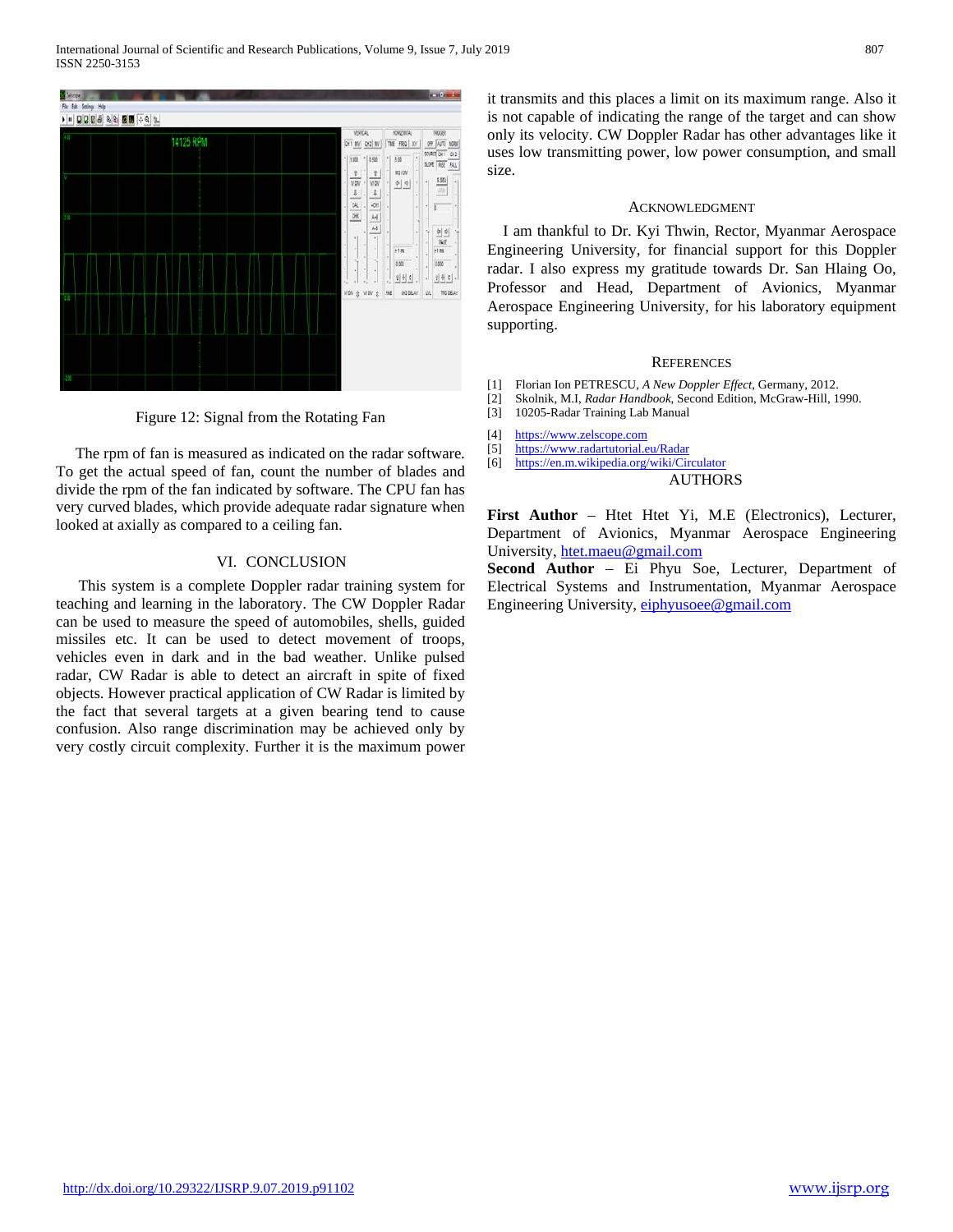

Figure 12: Signal from the Rotating Fan

 The rpm of fan is measured as indicated on the radar software. To get the actual speed of fan, count the number of blades and divide the rpm of the fan indicated by software. The CPU fan has very curved blades, which provide adequate radar signature when looked at axially as compared to a ceiling fan.

## VI. CONCLUSION

This system is a complete Doppler radar training system for teaching and learning in the laboratory. The CW Doppler Radar can be used to measure the speed of automobiles, shells, guided missiles etc. It can be used to detect movement of troops, vehicles even in dark and in the bad weather. Unlike pulsed radar, CW Radar is able to detect an aircraft in spite of fixed objects. However practical application of CW Radar is limited by the fact that several targets at a given bearing tend to cause confusion. Also range discrimination may be achieved only by very costly circuit complexity. Further it is the maximum power it transmits and this places a limit on its maximum range. Also it is not capable of indicating the range of the target and can show only its velocity. CW Doppler Radar has other advantages like it uses low transmitting power, low power consumption, and small size.

#### ACKNOWLEDGMENT

I am thankful to Dr. Kyi Thwin, Rector, Myanmar Aerospace Engineering University, for financial support for this Doppler radar. I also express my gratitude towards Dr. San Hlaing Oo, Professor and Head, Department of Avionics, Myanmar Aerospace Engineering University, for his laboratory equipment supporting.

#### **REFERENCES**

- [1] Florian Ion PETRESCU, *A New Doppler Effect*, Germany, 2012.
- [2] Skolnik, M.I, *Radar Handbook*, Second Edition, McGraw-Hill, 1990.
- [3] 10205-Radar Training Lab Manual
- [4] [https://www.z](https://www./)elscope.com
- [5] <https://www.radartutorial.eu/Radar>
- [6] <https://en.m.wikipedia.org/wiki/Circulator>

AUTHORS

**First Author** – Htet Htet Yi, M.E (Electronics), Lecturer, Department of Avionics, Myanmar Aerospace Engineering University, [htet.maeu@gmail.com](mailto:htet.maeu@gmail.com)

**Second Author** – Ei Phyu Soe, Lecturer, Department of Electrical Systems and Instrumentation, Myanmar Aerospace Engineering University, [eiphyusoee@gmail.com](mailto:eiphyusoee@gmail.com)